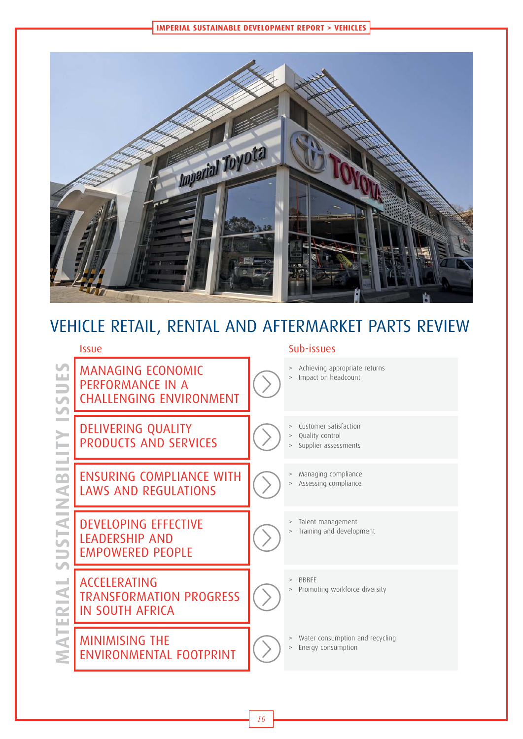**IMPERIAL SUSTAINABLE DEVELOPMENT REPORT > VEHICLES**



# VEHICLE RETAIL, RENTAL AND AFTERMARKET PARTS REVIEW

### Issue Sub-issues MANAGING ECONOMIC<br>
PERFORMANCE IN A<br>
CHALLENGING ENVIRON<br>
DELIVERING QUALITY<br>
PRODUCTS AND SERVIC<br>
ENSURING COMPLIANCE<br>
LAWS AND REGULATION<br>
DEVELOPING EFFECTIVE<br>
LEADERSHIP AND<br>
MINIMISING TRANSFORMATION PRO<br>
IN SOUTH AFR PERFORMANCE IN A CHALLENGING ENVIRONMENT > Achieving appropriate returns Impact on headcount DELIVERING QUALITY PRODUCTS AND SERVICES Customer satisfaction Quality control Supplier assessments ENSURING COMPLIANCE WITH LAWS AND REGULATIONS > Managing compliance Assessing compliance DEVELOPING EFFECTIVE LEADERSHIP AND EMPOWERED PEOPLE > Talent management > Training and development ACCELERATING TRANSFORMATION PROGRESS IN SOUTH AFRICA > BBBEE Promoting workforce diversity MINIMISING THE ENVIRONMENTAL FOOTPRINT Water consumption and recycling Energy consumption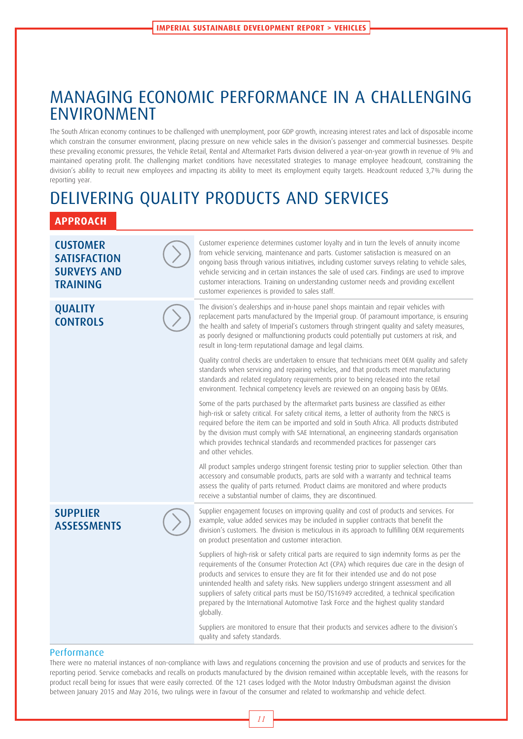# MANAGING ECONOMIC PERFORMANCE IN A CHALLENGING ENVIRONMENT

The South African economy continues to be challenged with unemployment, poor GDP growth, increasing interest rates and lack of disposable income which constrain the consumer environment, placing pressure on new vehicle sales in the division's passenger and commercial businesses. Despite these prevailing economic pressures, the Vehicle Retail, Rental and Aftermarket Parts division delivered a year-on-year growth in revenue of 9% and maintained operating profit. The challenging market conditions have necessitated strategies to manage employee headcount, constraining the division's ability to recruit new employees and impacting its ability to meet its employment equity targets. Headcount reduced 3,7% during the reporting year.

# DELIVERING QUALITY PRODUCTS AND SERVICES

# **APPROACH**



#### **Performance**

There were no material instances of non-compliance with laws and regulations concerning the provision and use of products and services for the reporting period. Service comebacks and recalls on products manufactured by the division remained within acceptable levels, with the reasons for product recall being for issues that were easily corrected. Of the 121 cases lodged with the Motor Industry Ombudsman against the division between January 2015 and May 2016, two rulings were in favour of the consumer and related to workmanship and vehicle defect.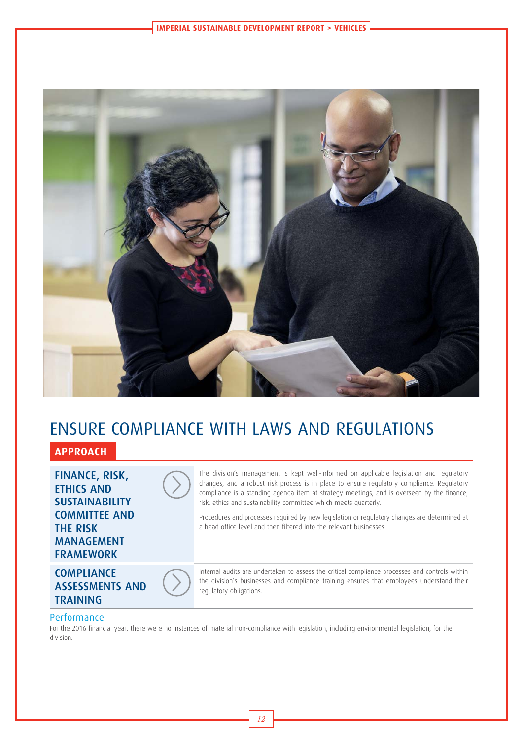

# ENSURE COMPLIANCE WITH LAWS AND REGULATIONS

# **APPROACH**

FINANCE, RISK, ETHICS AND SUSTAINABILITY COMMITTEE AND THE RISK MANAGEMENT FRAMEWORK

# ASSESSMENTS AND TRAINING



The division's management is kept well-informed on applicable legislation and regulatory changes, and a robust risk process is in place to ensure regulatory compliance. Regulatory compliance is a standing agenda item at strategy meetings, and is overseen by the finance, risk, ethics and sustainability committee which meets quarterly.

Procedures and processes required by new legislation or regulatory changes are determined at a head office level and then filtered into the relevant businesses.

**COMPLIANCE** 



Internal audits are undertaken to assess the critical compliance processes and controls within the division's businesses and compliance training ensures that employees understand their regulatory obligations.

#### Performance

For the 2016 financial year, there were no instances of material non-compliance with legislation, including environmental legislation, for the division.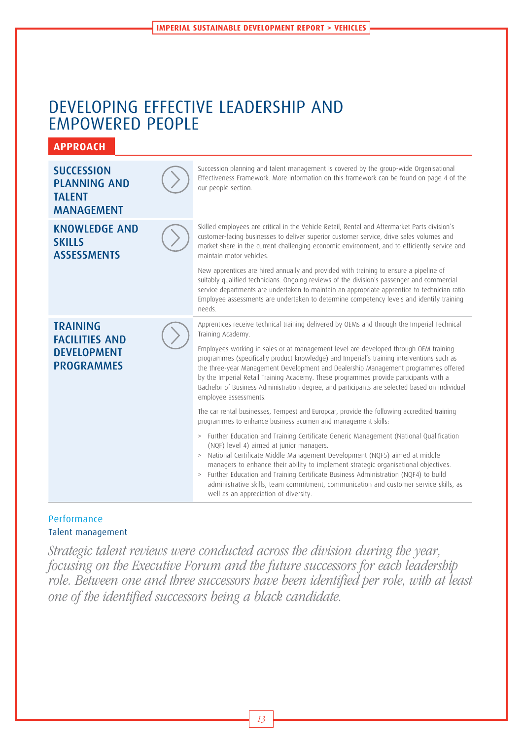# DEVELOPING EFFECTIVE LEADERSHIP AND EMPOWERED PEOPLE

**APPROACH**

#### **SUCCESSION** PLANNING AND **TALENT** MANAGEMENT Succession planning and talent management is covered by the group-wide Organisational Effectiveness Framework. More information on this framework can be found on page 4 of the our people section. KNOWLEDGE AND **SKILLS ASSESSMENTS** Skilled employees are critical in the Vehicle Retail, Rental and Aftermarket Parts division's customer-facing businesses to deliver superior customer service, drive sales volumes and market share in the current challenging economic environment, and to efficiently service and maintain motor vehicles. New apprentices are hired annually and provided with training to ensure a pipeline of suitably qualified technicians. Ongoing reviews of the division's passenger and commercial service departments are undertaken to maintain an appropriate apprentice to technician ratio. Employee assessments are undertaken to determine competency levels and identify training needs. TRAINING FACILITIES AND DEVELOPMENT PROGRAMMES Apprentices receive technical training delivered by OEMs and through the Imperial Technical Training Academy. Employees working in sales or at management level are developed through OEM training programmes (specifically product knowledge) and Imperial's training interventions such as the three-year Management Development and Dealership Management programmes offered by the Imperial Retail Training Academy. These programmes provide participants with a Bachelor of Business Administration degree, and participants are selected based on individual employee assessments.

The car rental businesses, Tempest and Europcar, provide the following accredited training programmes to enhance business acumen and management skills:

- > Further Education and Training Certificate Generic Management (National Qualification (NQF) level 4) aimed at junior managers.
- > National Certificate Middle Management Development (NQF5) aimed at middle managers to enhance their ability to implement strategic organisational objectives.
- > Further Education and Training Certificate Business Administration (NQF4) to build administrative skills, team commitment, communication and customer service skills, as well as an appreciation of diversity.

### Performance Talent management

Strategic talent reviews were conducted across the division during the year, focusing on the Executive Forum and the future successors for each leadership role. Between one and three successors have been identified per role, with at least one of the identified successors being a black candidate.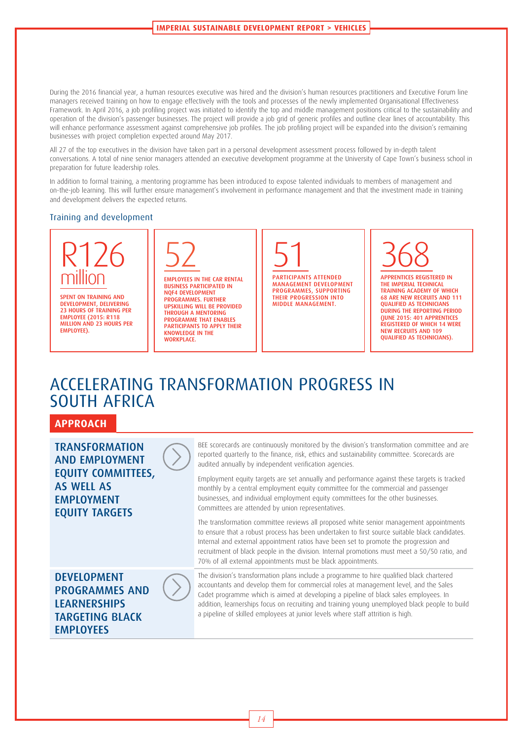During the 2016 financial year, a human resources executive was hired and the division's human resources practitioners and Executive Forum line managers received training on how to engage effectively with the tools and processes of the newly implemented Organisational Effectiveness Framework. In April 2016, a job profiling project was initiated to identify the top and middle management positions critical to the sustainability and operation of the division's passenger businesses. The project will provide a job grid of generic profiles and outline clear lines of accountability. This will enhance performance assessment against comprehensive job profiles. The job profiling project will be expanded into the division's remaining businesses with project completion expected around May 2017.

All 27 of the top executives in the division have taken part in a personal development assessment process followed by in-depth talent conversations. A total of nine senior managers attended an executive development programme at the University of Cape Town's business school in preparation for future leadership roles.

In addition to formal training, a mentoring programme has been introduced to expose talented individuals to members of management and on-the-job learning. This will further ensure management's involvement in performance management and that the investment made in training and development delivers the expected returns.

#### Training and development



**SPENT ON TRAINING AND** DEVELOPMENT, DELIVERING 23 HOURS OF TRAINING PER EMPLOYEE (2015: R118 MILLION AND 23 HOURS PER EMPLOYEE).

| _ |
|---|
|---|

EMPLOYEES IN THE CAR RENTAL BUSINESS PARTICIPATED IN NQF4 DEVELOPMENT PROGRAMMES. FURTHER UPSKILLING WILL BE PROVIDED THROUGH A MENTORING PROGRAMME THAT ENABLES PARTICIPANTS TO APPLY THEIR KNOWLEDGE IN THE **WORKPLACE** 

51

PARTICIPANTS ATTENDED MANAGEMENT DEVELOPMENT PROGRAMMES, SUPPORTING THEIR PROGRESSION INTO MIDDLE MANAGEMENT.

368 APPRENTICES REGISTERED IN

THE IMPERIAL TECHNICAL TRAINING ACADEMY OF WHICH 68 ARE NEW RECRUITS AND 111 QUALIFIED AS TECHNICIANS DURING THE REPORTING PERIOD (JUNE 2015: 401 APPRENTICES REGISTERED OF WHICH 14 WERE NEW RECRUITS AND 109 QUALIFIED AS TECHNICIANS).

# ACCELERATING TRANSFORMATION PROGRESS IN SOUTH AFRICA

### **APPROACH**

**TRANSFORMATION** AND EMPLOYMENT EQUITY COMMITTEES, AS WELL AS EMPLOYMENT EQUITY TARGETS BEE scorecards are continuously monitored by the division's transformation committee and are reported quarterly to the finance, risk, ethics and sustainability committee. Scorecards are audited annually by independent verification agencies. Employment equity targets are set annually and performance against these targets is tracked monthly by a central employment equity committee for the commercial and passenger businesses, and individual employment equity committees for the other businesses. Committees are attended by union representatives. The transformation committee reviews all proposed white senior management appointments to ensure that a robust process has been undertaken to first source suitable black candidates. Internal and external appointment ratios have been set to promote the progression and recruitment of black people in the division. Internal promotions must meet a 50/50 ratio, and 70% of all external appointments must be black appointments. DEVELOPMENT PROGRAMMES AND **LEARNERSHIPS** TARGETING BLACK EMPLOYEES The division's transformation plans include a programme to hire qualified black chartered accountants and develop them for commercial roles at management level, and the Sales Cadet programme which is aimed at developing a pipeline of black sales employees. In addition, learnerships focus on recruiting and training young unemployed black people to build a pipeline of skilled employees at junior levels where staff attrition is high.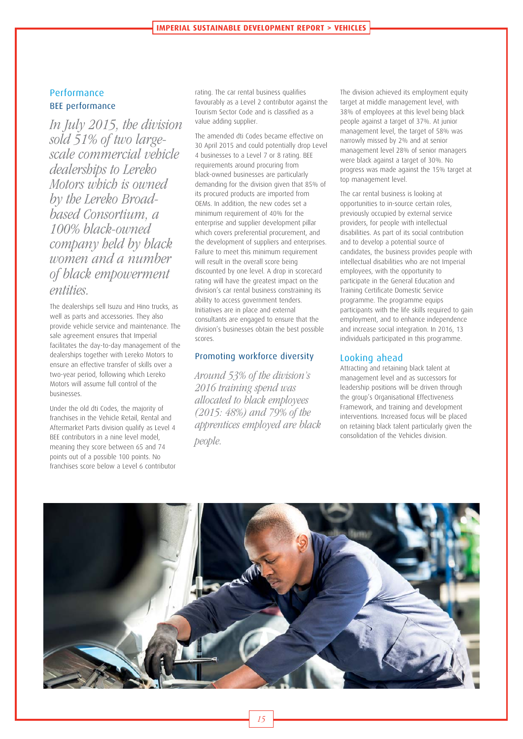# Performance BEE performance

In July 2015, the division sold 51% of two largescale commercial vehicle dealerships to Lereko Motors which is owned by the Lereko Broadbased Consortium, a 100% black-owned company held by black women and a number of black empowerment entities.

The dealerships sell Isuzu and Hino trucks, as well as parts and accessories. They also provide vehicle service and maintenance. The sale agreement ensures that Imperial facilitates the day-to-day management of the dealerships together with Lereko Motors to ensure an effective transfer of skills over a two-year period, following which Lereko Motors will assume full control of the businesses.

Under the old dti Codes, the majority of franchises in the Vehicle Retail, Rental and Aftermarket Parts division qualify as Level 4 BEE contributors in a nine level model, meaning they score between 65 and 74 points out of a possible 100 points. No franchises score below a Level 6 contributor

rating. The car rental business qualifies favourably as a Level 2 contributor against the Tourism Sector Code and is classified as a value adding supplier.

The amended dti Codes became effective on 30 April 2015 and could potentially drop Level 4 businesses to a Level 7 or 8 rating. BEE requirements around procuring from black-owned businesses are particularly demanding for the division given that 85% of its procured products are imported from OEMs. In addition, the new codes set a minimum requirement of 40% for the enterprise and supplier development pillar which covers preferential procurement, and the development of suppliers and enterprises. Failure to meet this minimum requirement will result in the overall score being discounted by one level. A drop in scorecard rating will have the greatest impact on the division's car rental business constraining its ability to access government tenders. Initiatives are in place and external consultants are engaged to ensure that the division's businesses obtain the best possible scores.

#### Promoting workforce diversity

Around 53% of the division's 2016 training spend was allocated to black employees (2015: 48%) and 79% of the apprentices employed are black people.

The division achieved its employment equity target at middle management level, with 38% of employees at this level being black people against a target of 37%. At junior management level, the target of 58% was narrowly missed by 2% and at senior management level 28% of senior managers were black against a target of 30%. No progress was made against the 15% target at top management level.

The car rental business is looking at opportunities to in-source certain roles, previously occupied by external service providers, for people with intellectual disabilities. As part of its social contribution and to develop a potential source of candidates, the business provides people with intellectual disabilities who are not Imperial employees, with the opportunity to participate in the General Education and Training Certificate Domestic Service programme. The programme equips participants with the life skills required to gain employment, and to enhance independence and increase social integration. In 2016, 13 individuals participated in this programme.

#### Looking ahead

Attracting and retaining black talent at management level and as successors for leadership positions will be driven through the group's Organisational Effectiveness Framework, and training and development interventions. Increased focus will be placed on retaining black talent particularly given the consolidation of the Vehicles division.

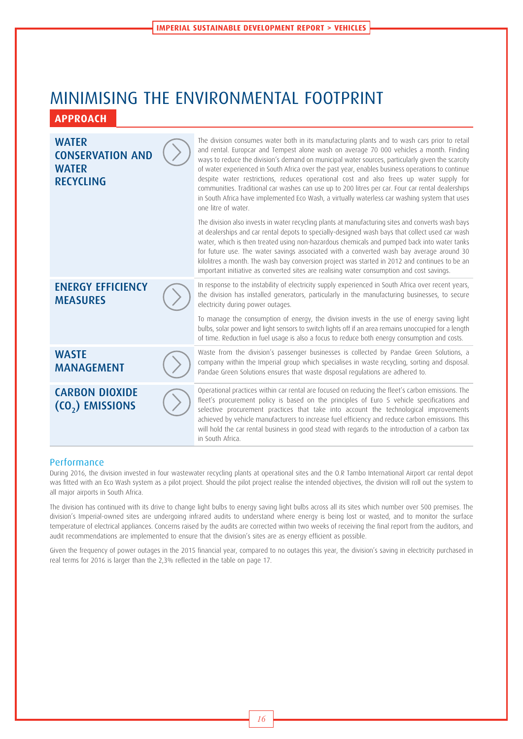# MINIMISING THE ENVIRONMENTAL FOOTPRINT **APPROACH**

| <b>WATER</b><br><b>CONSERVATION AND</b><br><b>WATER</b><br><b>RECYCLING</b> | The division consumes water both in its manufacturing plants and to wash cars prior to retail<br>and rental. Europcar and Tempest alone wash on average 70 000 vehicles a month. Finding<br>ways to reduce the division's demand on municipal water sources, particularly given the scarcity<br>of water experienced in South Africa over the past year, enables business operations to continue<br>despite water restrictions, reduces operational cost and also frees up water supply for<br>communities. Traditional car washes can use up to 200 litres per car. Four car rental dealerships<br>in South Africa have implemented Eco Wash, a virtually waterless car washing system that uses<br>one litre of water. |  |  |
|-----------------------------------------------------------------------------|--------------------------------------------------------------------------------------------------------------------------------------------------------------------------------------------------------------------------------------------------------------------------------------------------------------------------------------------------------------------------------------------------------------------------------------------------------------------------------------------------------------------------------------------------------------------------------------------------------------------------------------------------------------------------------------------------------------------------|--|--|
|                                                                             | The division also invests in water recycling plants at manufacturing sites and converts wash bays<br>at dealerships and car rental depots to specially-designed wash bays that collect used car wash<br>water, which is then treated using non-hazardous chemicals and pumped back into water tanks<br>for future use. The water savings associated with a converted wash bay average around 30<br>kilolitres a month. The wash bay conversion project was started in 2012 and continues to be an<br>important initiative as converted sites are realising water consumption and cost savings.                                                                                                                           |  |  |
| <b>ENERGY EFFICIENCY</b><br><b>MEASURES</b>                                 | In response to the instability of electricity supply experienced in South Africa over recent years,<br>the division has installed generators, particularly in the manufacturing businesses, to secure<br>electricity during power outages.                                                                                                                                                                                                                                                                                                                                                                                                                                                                               |  |  |
|                                                                             | To manage the consumption of energy, the division invests in the use of energy saving light<br>bulbs, solar power and light sensors to switch lights off if an area remains unoccupied for a length<br>of time. Reduction in fuel usage is also a focus to reduce both energy consumption and costs.                                                                                                                                                                                                                                                                                                                                                                                                                     |  |  |
| <b>WASTE</b><br><b>MANAGEMENT</b>                                           | Waste from the division's passenger businesses is collected by Pandae Green Solutions, a<br>company within the Imperial group which specialises in waste recycling, sorting and disposal.<br>Pandae Green Solutions ensures that waste disposal regulations are adhered to.                                                                                                                                                                                                                                                                                                                                                                                                                                              |  |  |
| <b>CARBON DIOXIDE</b><br>$(0, 0)$ EMISSIONS                                 | Operational practices within car rental are focused on reducing the fleet's carbon emissions. The<br>fleet's procurement policy is based on the principles of Euro 5 vehicle specifications and<br>selective procurement practices that take into account the technological improvements<br>achieved by vehicle manufacturers to increase fuel efficiency and reduce carbon emissions. This<br>will hold the car rental business in good stead with regards to the introduction of a carbon tax<br>in South Africa.                                                                                                                                                                                                      |  |  |

#### Performance

During 2016, the division invested in four wastewater recycling plants at operational sites and the O.R Tambo International Airport car rental depot was fitted with an Eco Wash system as a pilot project. Should the pilot project realise the intended objectives, the division will roll out the system to all major airports in South Africa.

The division has continued with its drive to change light bulbs to energy saving light bulbs across all its sites which number over 500 premises. The division's Imperial-owned sites are undergoing infrared audits to understand where energy is being lost or wasted, and to monitor the surface temperature of electrical appliances. Concerns raised by the audits are corrected within two weeks of receiving the final report from the auditors, and audit recommendations are implemented to ensure that the division's sites are as energy efficient as possible.

Given the frequency of power outages in the 2015 financial year, compared to no outages this year, the division's saving in electricity purchased in real terms for 2016 is larger than the 2,3% reflected in the table on page 17.